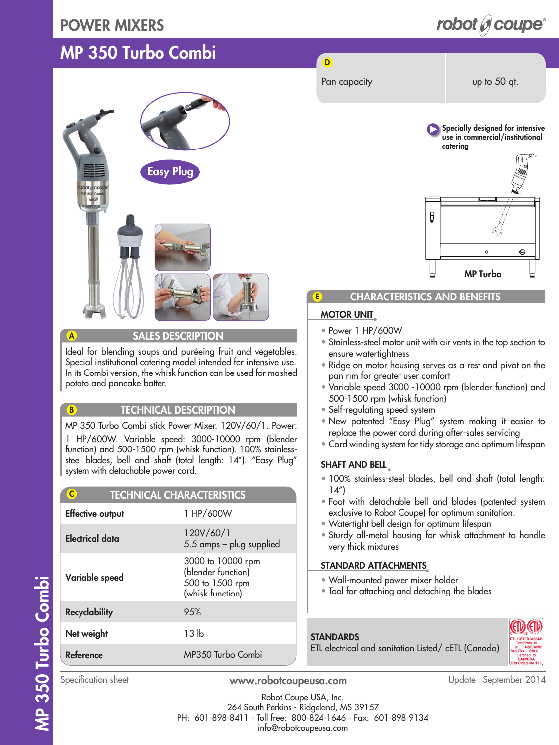### POWER MIXERS

# MP 350 Turbo Combi



#### A SALES DESCRIPTION

Ideal for blending soups and puréeing fruit and vegetables. Special institutional catering model intended for intensive use. In its Combi version, the whisk function can be used for mashed potato and pancake batter.

#### B **TECHNICAL DESCRIPTION**

MP 350 Turbo Combi stick Power Mixer. 120V/60/1. Power: 1 HP/600W. Variable speed: 3000-10000 rpm (blender function) and 500-1500 rpm (whisk function). 100% stainlesssteel blades, bell and shaft (total length: 14"). "Easy Plug" system with detachable power cord.

| $\overline{\mathsf{C}}$<br><b>TECHNICAL CHARACTERISTICS</b> |                                                                                |
|-------------------------------------------------------------|--------------------------------------------------------------------------------|
| <b>Effective output</b>                                     | 1 HP/600W                                                                      |
| Electrical data                                             | 120V/60/1<br>5.5 amps - plug supplied                                          |
| Variable speed                                              | 3000 to 10000 rpm<br>(blender function)<br>500 to 1500 rpm<br>(whisk function) |
| <b>Recyclability</b>                                        | 95%                                                                            |
| Net weight                                                  | 13 lb                                                                          |
| Reference                                                   | MP350 Turbo Combi                                                              |

# robot  $\mathscr O$  coupe<sup>®</sup>

D



MP Turbo

Ô

#### CHARACTERISTICS AND BENEFITS

#### MOTOR UNIT

E

- Power 1 HP/600W
- Stainless-steel motor unit with air vents in the top section to ensure watertightness
- Ridge on motor housing serves as a rest and pivot on the pan rim for greater user comfort
- Variable speed 3000 -10000 rpm (blender function) and 500-1500 rpm (whisk function)
- Self-regulating speed system
- New patented "Easy Plug" system making it easier to replace the power cord during after-sales servicing
- Cord winding system for tidy storage and optimum lifespan

#### SHAFT AND BELL

- 100% stainless-steel blades, bell and shaft (total length:  $14"$
- Foot with detachable bell and blades (patented system exclusive to Robot Coupe) for optimum sanitation.
- Watertight bell design for optimum lifespan
- Sturdy all-metal housing for whisk attachment to handle very thick mixtures

#### STANDARD ATTACHMENTS

- Wall-mounted power mixer holder
- Tool for attaching and detaching the blades

### **STANDARDS**

ETL electrical and sanitation Listed/ cETL (Canada)



Specification sheet **www.robotcoupeusa.com** Update : September 2014

Robot Coupe USA, Inc. 264 South Perkins - Ridgeland, MS 39157 PH: 601-898-8411 - Toll free: 800-824-1646 - Fax: 601-898-9134 info@robotcoupeusa.com